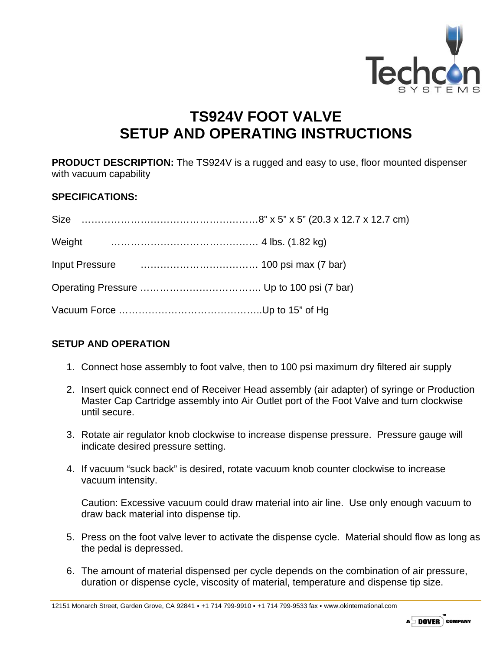

## **TS924V FOOT VALVE SETUP AND OPERATING INSTRUCTIONS**

**PRODUCT DESCRIPTION:** The TS924V is a rugged and easy to use, floor mounted dispenser with vacuum capability

## **SPECIFICATIONS:**

| <b>Size</b> |  |
|-------------|--|
|             |  |
|             |  |
|             |  |
|             |  |

## **SETUP AND OPERATION**

- 1. Connect hose assembly to foot valve, then to 100 psi maximum dry filtered air supply
- 2. Insert quick connect end of Receiver Head assembly (air adapter) of syringe or Production Master Cap Cartridge assembly into Air Outlet port of the Foot Valve and turn clockwise until secure.
- 3. Rotate air regulator knob clockwise to increase dispense pressure. Pressure gauge will indicate desired pressure setting.
- 4. If vacuum "suck back" is desired, rotate vacuum knob counter clockwise to increase vacuum intensity.

Caution: Excessive vacuum could draw material into air line. Use only enough vacuum to draw back material into dispense tip.

- 5. Press on the foot valve lever to activate the dispense cycle. Material should flow as long as the pedal is depressed.
- 6. The amount of material dispensed per cycle depends on the combination of air pressure, duration or dispense cycle, viscosity of material, temperature and dispense tip size.